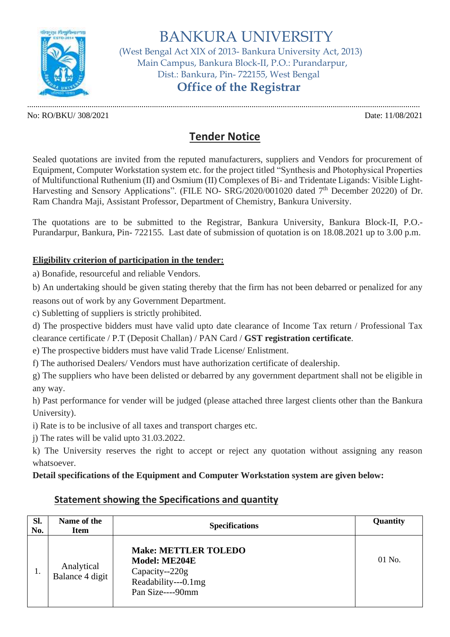

BANKURA UNIVERSITY

 (West Bengal Act XIX of 2013- Bankura University Act, 2013) Main Campus, Bankura Block-II, P.O.: Purandarpur, Dist.: Bankura, Pin- 722155, West Bengal

# **Office of the Registrar**

............................................................................................................................................................................................. No: RO/BKU/ 308/2021 Date: 11/08/2021

## **Tender Notice**

Sealed quotations are invited from the reputed manufacturers, suppliers and Vendors for procurement of Equipment, Computer Workstation system etc. for the project titled "Synthesis and Photophysical Properties of Multifunctional Ruthenium (II) and Osmium (II) Complexes of Bi- and Tridentate Ligands: Visible Light-Harvesting and Sensory Applications". (FILE NO- SRG/2020/001020 dated 7<sup>th</sup> December 20220) of Dr. Ram Chandra Maji, Assistant Professor, Department of Chemistry, Bankura University.

The quotations are to be submitted to the Registrar, Bankura University, Bankura Block-II, P.O.- Purandarpur, Bankura, Pin- 722155. Last date of submission of quotation is on 18.08.2021 up to 3.00 p.m.

#### **Eligibility criterion of participation in the tender:**

a) Bonafide, resourceful and reliable Vendors.

b) An undertaking should be given stating thereby that the firm has not been debarred or penalized for any reasons out of work by any Government Department.

c) Subletting of suppliers is strictly prohibited.

d) The prospective bidders must have valid upto date clearance of Income Tax return / Professional Tax clearance certificate / P.T (Deposit Challan) / PAN Card / **GST registration certificate**.

e) The prospective bidders must have valid Trade License/ Enlistment.

f) The authorised Dealers/ Vendors must have authorization certificate of dealership.

g) The suppliers who have been delisted or debarred by any government department shall not be eligible in any way.

h) Past performance for vender will be judged (please attached three largest clients other than the Bankura University).

i) Rate is to be inclusive of all taxes and transport charges etc.

j) The rates will be valid upto 31.03.2022.

k) The University reserves the right to accept or reject any quotation without assigning any reason whatsoever.

#### **Detail specifications of the Equipment and Computer Workstation system are given below:**

### **Statement showing the Specifications and quantity**

| Sl.<br>No. | Name of the<br>Item           | <b>Specifications</b>                                                                                     | Quantity |
|------------|-------------------------------|-----------------------------------------------------------------------------------------------------------|----------|
| .,         | Analytical<br>Balance 4 digit | <b>Make: METTLER TOLEDO</b><br>Model: ME204E<br>Capacity--220g<br>Readability---0.1mg<br>Pan Size----90mm | 01 No.   |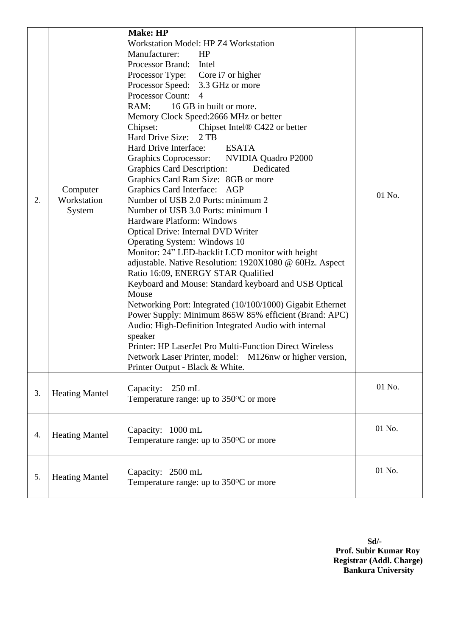| 2. | Computer<br>Workstation<br>System | <b>Make: HP</b><br>Workstation Model: HP Z4 Workstation<br>Manufacturer:<br>HP<br>Processor Brand: Intel<br>Processor Type: Core i7 or higher<br>Processor Speed: 3.3 GHz or more<br>Processor Count: 4<br>RAM: 16 GB in built or more.<br>Memory Clock Speed: 2666 MHz or better<br>Chipset:<br>Chipset Intel <sup>®</sup> C422 or better<br>Hard Drive Size: 2 TB<br>Hard Drive Interface:<br><b>ESATA</b><br>Graphics Coprocessor: NVIDIA Quadro P2000<br><b>Graphics Card Description:</b><br>Dedicated<br>Graphics Card Ram Size: 8GB or more<br>Graphics Card Interface: AGP<br>Number of USB 2.0 Ports: minimum 2<br>Number of USB 3.0 Ports: minimum 1<br>Hardware Platform: Windows<br><b>Optical Drive: Internal DVD Writer</b><br>Operating System: Windows 10<br>Monitor: 24" LED-backlit LCD monitor with height<br>adjustable. Native Resolution: 1920X1080 @ 60Hz. Aspect<br>Ratio 16:09, ENERGY STAR Qualified<br>Keyboard and Mouse: Standard keyboard and USB Optical<br>Mouse<br>Networking Port: Integrated (10/100/1000) Gigabit Ethernet<br>Power Supply: Minimum 865W 85% efficient (Brand: APC)<br>Audio: High-Definition Integrated Audio with internal<br>speaker<br>Printer: HP LaserJet Pro Multi-Function Direct Wireless<br>Network Laser Printer, model: M126nw or higher version,<br>Printer Output - Black & White. | 01 No. |
|----|-----------------------------------|------------------------------------------------------------------------------------------------------------------------------------------------------------------------------------------------------------------------------------------------------------------------------------------------------------------------------------------------------------------------------------------------------------------------------------------------------------------------------------------------------------------------------------------------------------------------------------------------------------------------------------------------------------------------------------------------------------------------------------------------------------------------------------------------------------------------------------------------------------------------------------------------------------------------------------------------------------------------------------------------------------------------------------------------------------------------------------------------------------------------------------------------------------------------------------------------------------------------------------------------------------------------------------------------------------------------------------------------------|--------|
| 3. | <b>Heating Mantel</b>             | Capacity:<br>$250$ mL<br>Temperature range: up to 350°C or more                                                                                                                                                                                                                                                                                                                                                                                                                                                                                                                                                                                                                                                                                                                                                                                                                                                                                                                                                                                                                                                                                                                                                                                                                                                                                      | 01 No. |
| 4. | <b>Heating Mantel</b>             | Capacity: 1000 mL<br>Temperature range: up to $350^{\circ}$ C or more                                                                                                                                                                                                                                                                                                                                                                                                                                                                                                                                                                                                                                                                                                                                                                                                                                                                                                                                                                                                                                                                                                                                                                                                                                                                                | 01 No. |
| 5. | <b>Heating Mantel</b>             | Capacity: 2500 mL<br>Temperature range: up to $350^{\circ}$ C or more                                                                                                                                                                                                                                                                                                                                                                                                                                                                                                                                                                                                                                                                                                                                                                                                                                                                                                                                                                                                                                                                                                                                                                                                                                                                                | 01 No. |

**Sd/- Prof. Subir Kumar Roy Registrar (Addl. Charge) Bankura University**